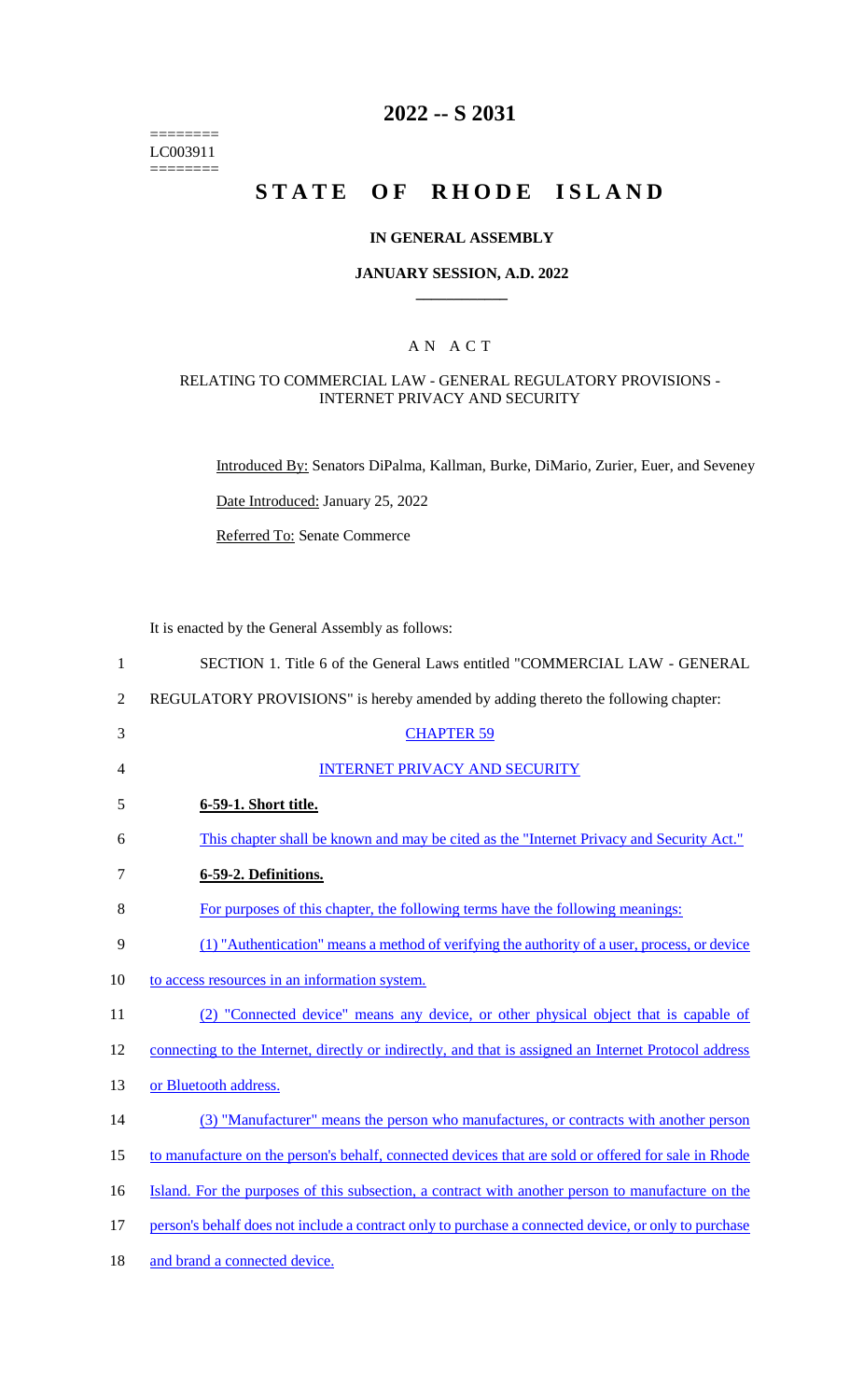======== LC003911  $=$ 

# **2022 -- S 2031**

# STATE OF RHODE ISLAND

## **IN GENERAL ASSEMBLY**

#### **JANUARY SESSION, A.D. 2022 \_\_\_\_\_\_\_\_\_\_\_\_**

## A N A C T

## RELATING TO COMMERCIAL LAW - GENERAL REGULATORY PROVISIONS - INTERNET PRIVACY AND SECURITY

Introduced By: Senators DiPalma, Kallman, Burke, DiMario, Zurier, Euer, and Seveney

Date Introduced: January 25, 2022

Referred To: Senate Commerce

It is enacted by the General Assembly as follows:

| $\mathbf{1}$   | SECTION 1. Title 6 of the General Laws entitled "COMMERCIAL LAW - GENERAL                             |
|----------------|-------------------------------------------------------------------------------------------------------|
| $\overline{2}$ | REGULATORY PROVISIONS" is hereby amended by adding thereto the following chapter:                     |
| 3              | <b>CHAPTER 59</b>                                                                                     |
| 4              | <b>INTERNET PRIVACY AND SECURITY</b>                                                                  |
| 5              | 6-59-1. Short title.                                                                                  |
| 6              | This chapter shall be known and may be cited as the "Internet Privacy and Security Act."              |
| 7              | 6-59-2. Definitions.                                                                                  |
| 8              | For purposes of this chapter, the following terms have the following meanings:                        |
| 9              | (1) "Authentication" means a method of verifying the authority of a user, process, or device          |
| 10             | to access resources in an information system.                                                         |
| 11             | (2) "Connected device" means any device, or other physical object that is capable of                  |
| 12             | connecting to the Internet, directly or indirectly, and that is assigned an Internet Protocol address |
| 13             | or Bluetooth address.                                                                                 |
| 14             | (3) "Manufacturer" means the person who manufactures, or contracts with another person                |
| 15             | to manufacture on the person's behalf, connected devices that are sold or offered for sale in Rhode   |
| 16             | Island. For the purposes of this subsection, a contract with another person to manufacture on the     |
| 17             | person's behalf does not include a contract only to purchase a connected device, or only to purchase  |
| 18             | and brand a connected device.                                                                         |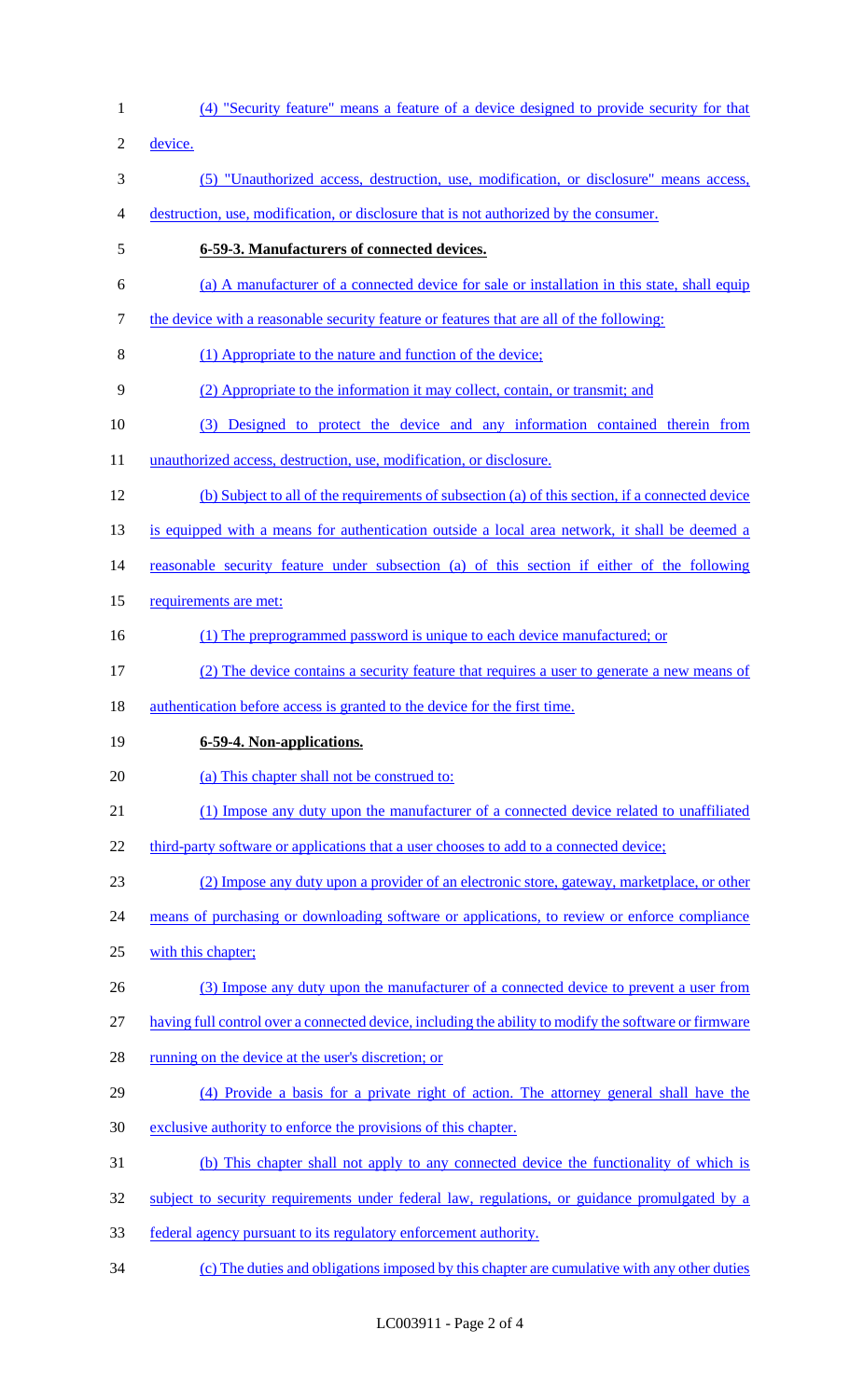(4) "Security feature" means a feature of a device designed to provide security for that device. (5) "Unauthorized access, destruction, use, modification, or disclosure" means access, destruction, use, modification, or disclosure that is not authorized by the consumer. **6-59-3. Manufacturers of connected devices.** (a) A manufacturer of a connected device for sale or installation in this state, shall equip the device with a reasonable security feature or features that are all of the following: (1) Appropriate to the nature and function of the device; (2) Appropriate to the information it may collect, contain, or transmit; and (3) Designed to protect the device and any information contained therein from 11 unauthorized access, destruction, use, modification, or disclosure. (b) Subject to all of the requirements of subsection (a) of this section, if a connected device is equipped with a means for authentication outside a local area network, it shall be deemed a reasonable security feature under subsection (a) of this section if either of the following 15 requirements are met: 16 (1) The preprogrammed password is unique to each device manufactured; or (2) The device contains a security feature that requires a user to generate a new means of 18 authentication before access is granted to the device for the first time. **6-59-4. Non-applications.** 20 (a) This chapter shall not be construed to: (1) Impose any duty upon the manufacturer of a connected device related to unaffiliated 22 third-party software or applications that a user chooses to add to a connected device; (2) Impose any duty upon a provider of an electronic store, gateway, marketplace, or other 24 means of purchasing or downloading software or applications, to review or enforce compliance with this chapter; (3) Impose any duty upon the manufacturer of a connected device to prevent a user from having full control over a connected device, including the ability to modify the software or firmware 28 running on the device at the user's discretion; or (4) Provide a basis for a private right of action. The attorney general shall have the exclusive authority to enforce the provisions of this chapter. (b) This chapter shall not apply to any connected device the functionality of which is 32 subject to security requirements under federal law, regulations, or guidance promulgated by a federal agency pursuant to its regulatory enforcement authority. (c) The duties and obligations imposed by this chapter are cumulative with any other duties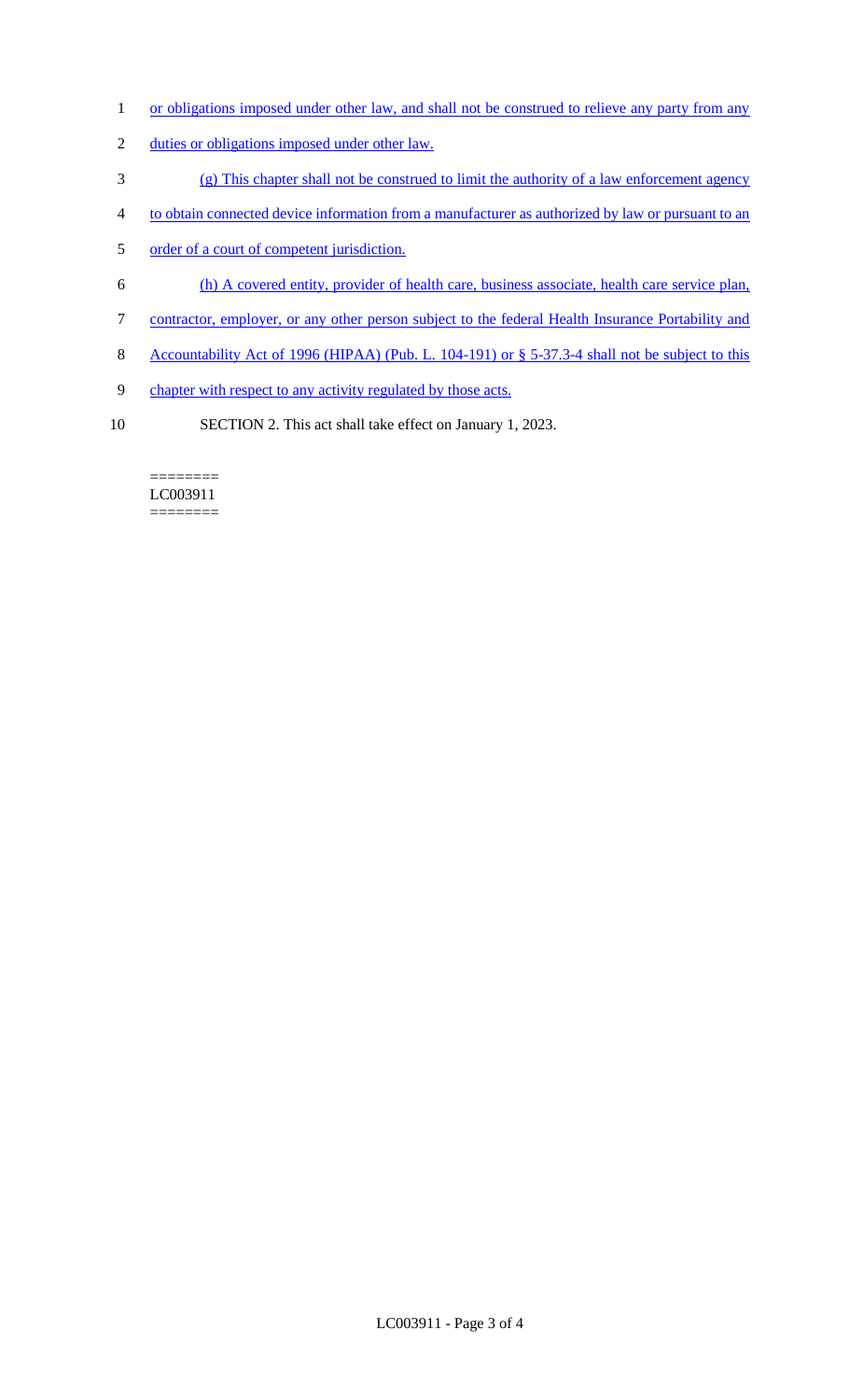- 1 or obligations imposed under other law, and shall not be construed to relieve any party from any
- 2 duties or obligations imposed under other law.
- 3 (g) This chapter shall not be construed to limit the authority of a law enforcement agency
- 4 to obtain connected device information from a manufacturer as authorized by law or pursuant to an
- 5 order of a court of competent jurisdiction.
- 6 (h) A covered entity, provider of health care, business associate, health care service plan,
- 7 contractor, employer, or any other person subject to the federal Health Insurance Portability and
- 8 Accountability Act of 1996 (HIPAA) (Pub. L. 104-191) or § 5-37.3-4 shall not be subject to this
- 9 chapter with respect to any activity regulated by those acts.
- 10 SECTION 2. This act shall take effect on January 1, 2023.

#### ======== LC003911 ========